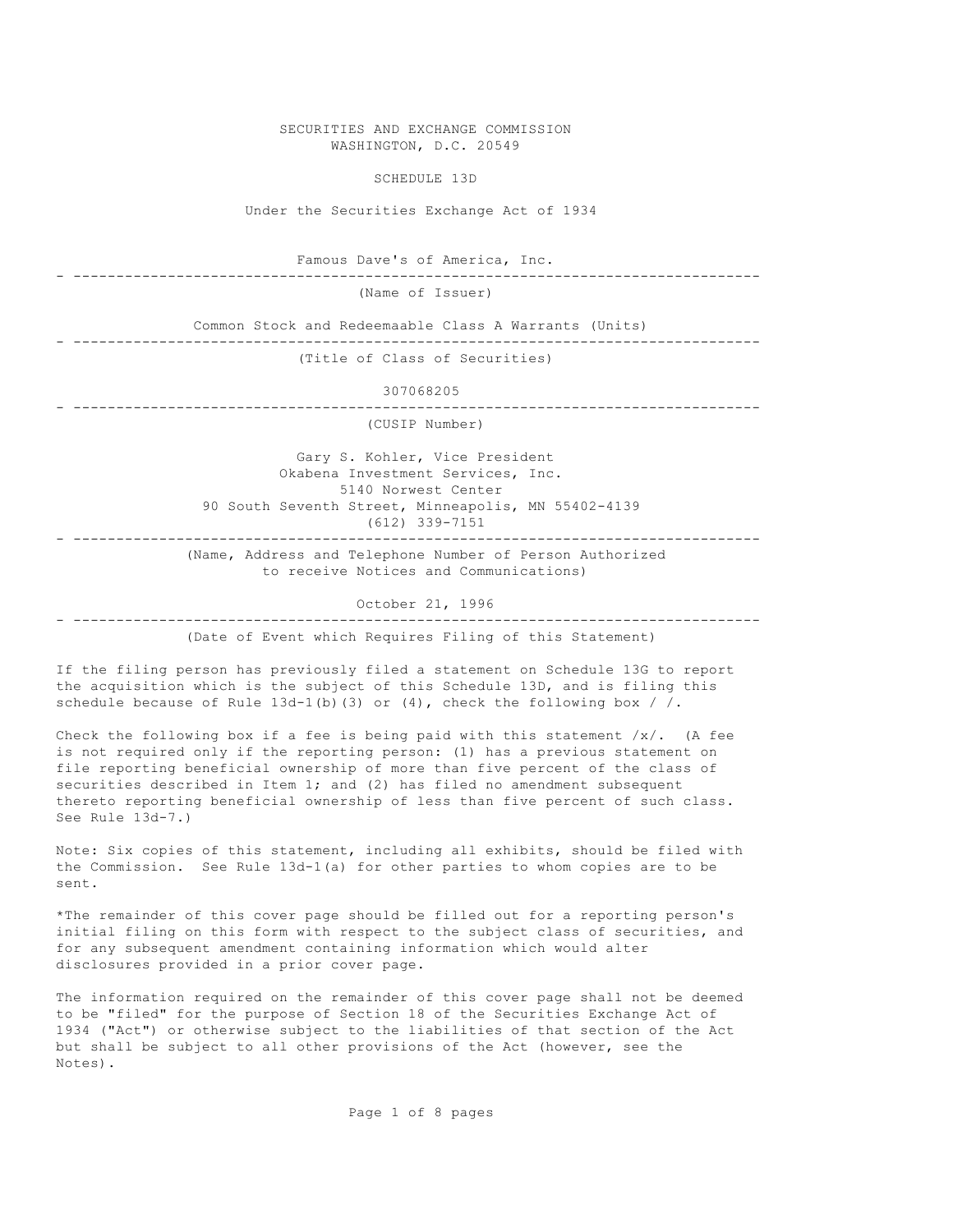SECURITIES AND EXCHANGE COMMISSION WASHINGTON, D.C. 20549

SCHEDULE 13D

Under the Securities Exchange Act of 1934

Famous Dave's of America, Inc.

- --------------------------------------------------------------------------------

(Name of Issuer)

 Common Stock and Redeemaable Class A Warrants (Units) - -------------------------------------------------------------------------------- (Title of Class of Securities)

307068205

- --------------------------------------------------------------------------------

(CUSIP Number)

 Gary S. Kohler, Vice President Okabena Investment Services, Inc. 5140 Norwest Center 90 South Seventh Street, Minneapolis, MN 55402-4139 (612) 339-7151 - --------------------------------------------------------------------------------

> (Name, Address and Telephone Number of Person Authorized to receive Notices and Communications)

> > October 21, 1996

- --------------------------------------------------------------------------------

(Date of Event which Requires Filing of this Statement)

If the filing person has previously filed a statement on Schedule 13G to report the acquisition which is the subject of this Schedule 13D, and is filing this schedule because of Rule  $13d-1(b)(3)$  or  $(4)$ , check the following box / /.

Check the following box if a fee is being paid with this statement  $/x/$ . (A fee is not required only if the reporting person: (1) has a previous statement on file reporting beneficial ownership of more than five percent of the class of securities described in Item 1; and (2) has filed no amendment subsequent thereto reporting beneficial ownership of less than five percent of such class. See Rule 13d-7.)

Note: Six copies of this statement, including all exhibits, should be filed with the Commission. See Rule  $13d-1(a)$  for other parties to whom copies are to be sent.

\*The remainder of this cover page should be filled out for a reporting person's initial filing on this form with respect to the subject class of securities, and for any subsequent amendment containing information which would alter disclosures provided in a prior cover page.

The information required on the remainder of this cover page shall not be deemed to be "filed" for the purpose of Section 18 of the Securities Exchange Act of 1934 ("Act") or otherwise subject to the liabilities of that section of the Act but shall be subject to all other provisions of the Act (however, see the Notes).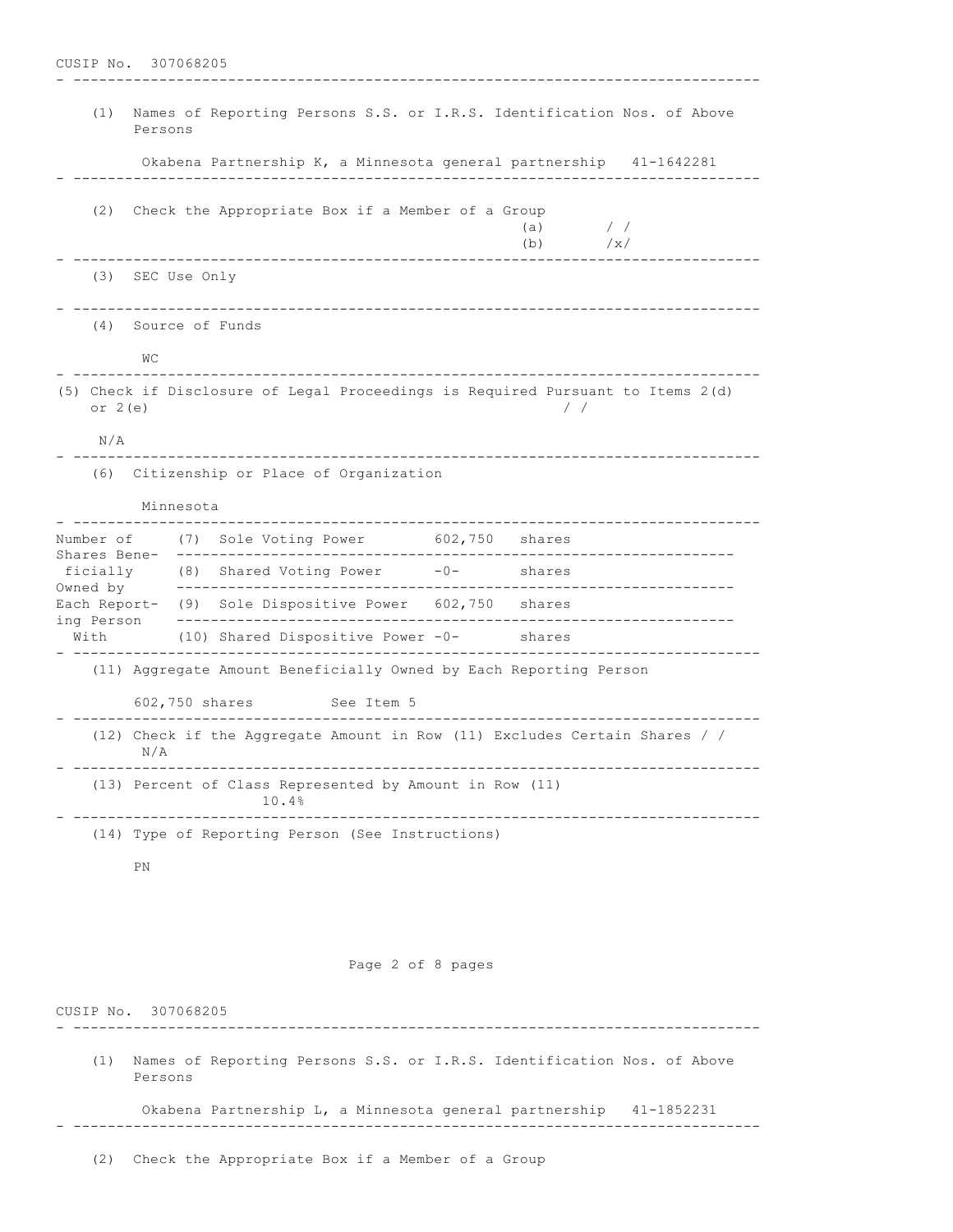- -------------------------------------------------------------------------------- (1) Names of Reporting Persons S.S. or I.R.S. Identification Nos. of Above Persons Okabena Partnership K, a Minnesota general partnership 41-1642281 - -------------------------------------------------------------------------------- (2) Check the Appropriate Box if a Member of a Group (a)  $/$  / (b) /x/ - -------------------------------------------------------------------------------- (3) SEC Use Only - -------------------------------------------------------------------------------- (4) Source of Funds WC - -------------------------------------------------------------------------------- (5) Check if Disclosure of Legal Proceedings is Required Pursuant to Items 2(d) or 2(e)  $/ /$  N/A - -------------------------------------------------------------------------------- (6) Citizenship or Place of Organization Minnesota<br>------------------ -------------------------------------------------------------------------------- Number of (7) Sole Voting Power 602,750 shares Shares Bene- -----------------------------------------------------------------  $(8)$  Shared Voting Power  $-0$ - shares Owned by ----------------------------------------------------------------- Each Report- (9) Sole Dispositive Power 602,750 shares ing Person ----------------------------------------------------------------- With (10) Shared Dispositive Power -0- shares - -------------------------------------------------------------------------------- (11) Aggregate Amount Beneficially Owned by Each Reporting Person 602,750 shares See Item 5 - -------------------------------------------------------------------------------- (12) Check if the Aggregate Amount in Row (11) Excludes Certain Shares / / N/A - -------------------------------------------------------------------------------- (13) Percent of Class Represented by Amount in Row (11) 10.4% - -------------------------------------------------------------------------------- (14) Type of Reporting Person (See Instructions) PN

Page 2 of 8 pages

CUSIP No. 307068205 - -------------------------------------------------------------------------------- (1) Names of Reporting Persons S.S. or I.R.S. Identification Nos. of Above Persons Okabena Partnership L, a Minnesota general partnership 41-1852231 - --------------------------------------------------------------------------------

(2) Check the Appropriate Box if a Member of a Group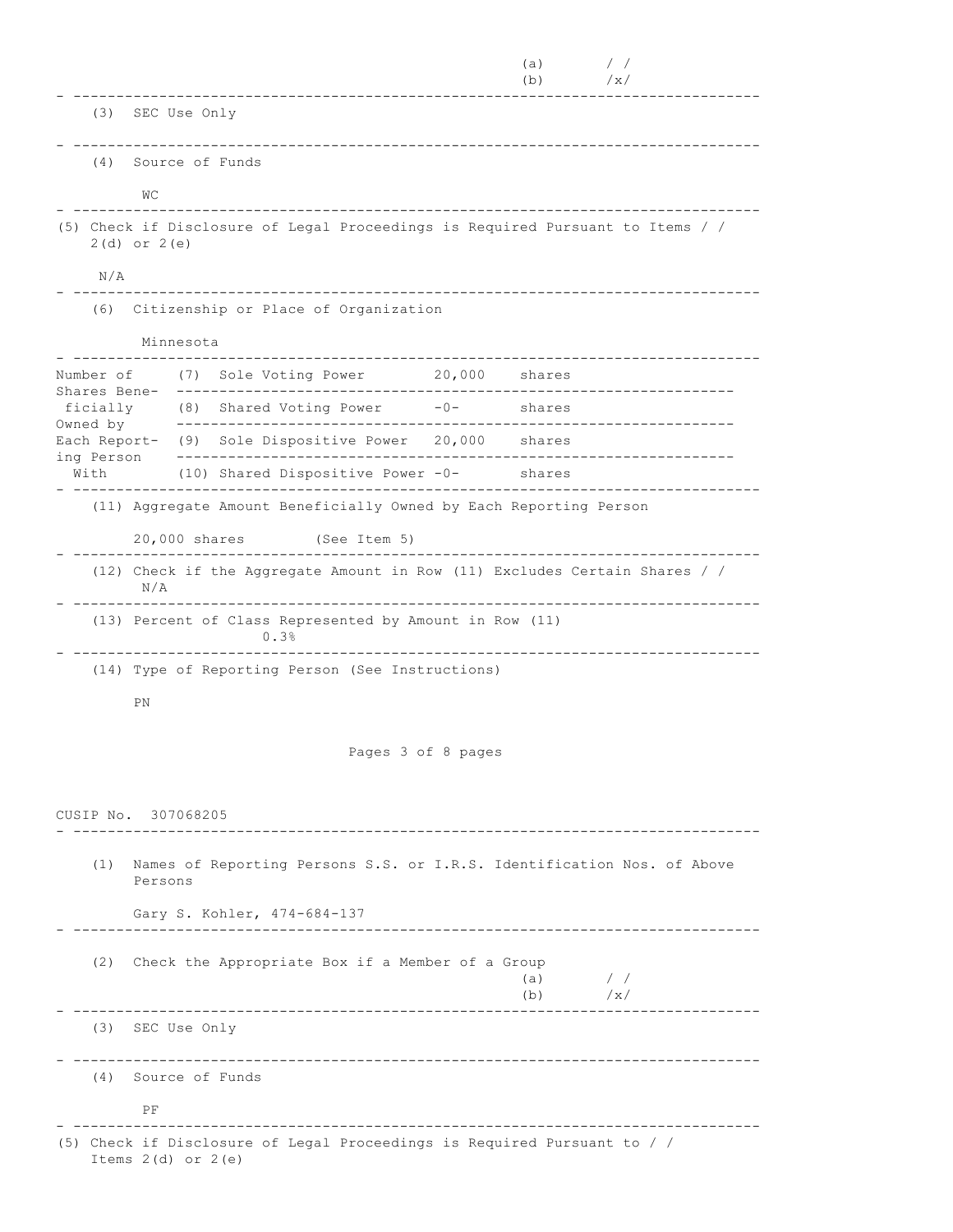(a)  $/$  / (b)  $/\mathrm{x}/$ - -------------------------------------------------------------------------------- (3) SEC Use Only - -------------------------------------------------------------------------------- (4) Source of Funds WC - -------------------------------------------------------------------------------- (5) Check if Disclosure of Legal Proceedings is Required Pursuant to Items / / 2(d) or 2(e) N/A - -------------------------------------------------------------------------------- (6) Citizenship or Place of Organization Minnesota - -------------------------------------------------------------------------------- Number of (7) Sole Voting Power Shares Bene- ---------------------------------------------------------------- ficially (8) Shared Voting Power -0- shares Owned by ----------------------------------------------------------------- Each Report- (9) Sole Dispositive Power 20,000 shares ing Person ----------------------------------------------------------------- With (10) Shared Dispositive Power -0- shares - -------------------------------------------------------------------------------- (11) Aggregate Amount Beneficially Owned by Each Reporting Person 20,000 shares (See Item 5) - -------------------------------------------------------------------------------- (12) Check if the Aggregate Amount in Row (11) Excludes Certain Shares / / N/A - -------------------------------------------------------------------------------- (13) Percent of Class Represented by Amount in Row (11) 0.3% - -------------------------------------------------------------------------------- (14) Type of Reporting Person (See Instructions) PN Pages 3 of 8 pages CUSIP No. 307068205 - -------------------------------------------------------------------------------- (1) Names of Reporting Persons S.S. or I.R.S. Identification Nos. of Above Persons Gary S. Kohler, 474-684-137 - -------------------------------------------------------------------------------- (2) Check the Appropriate Box if a Member of a Group (a)  $/$  / (b)  $/\mathrm{x}/$ - -------------------------------------------------------------------------------- (3) SEC Use Only - -------------------------------------------------------------------------------- (4) Source of Funds PF - -------------------------------------------------------------------------------- (5) Check if Disclosure of Legal Proceedings is Required Pursuant to / / Items 2(d) or 2(e)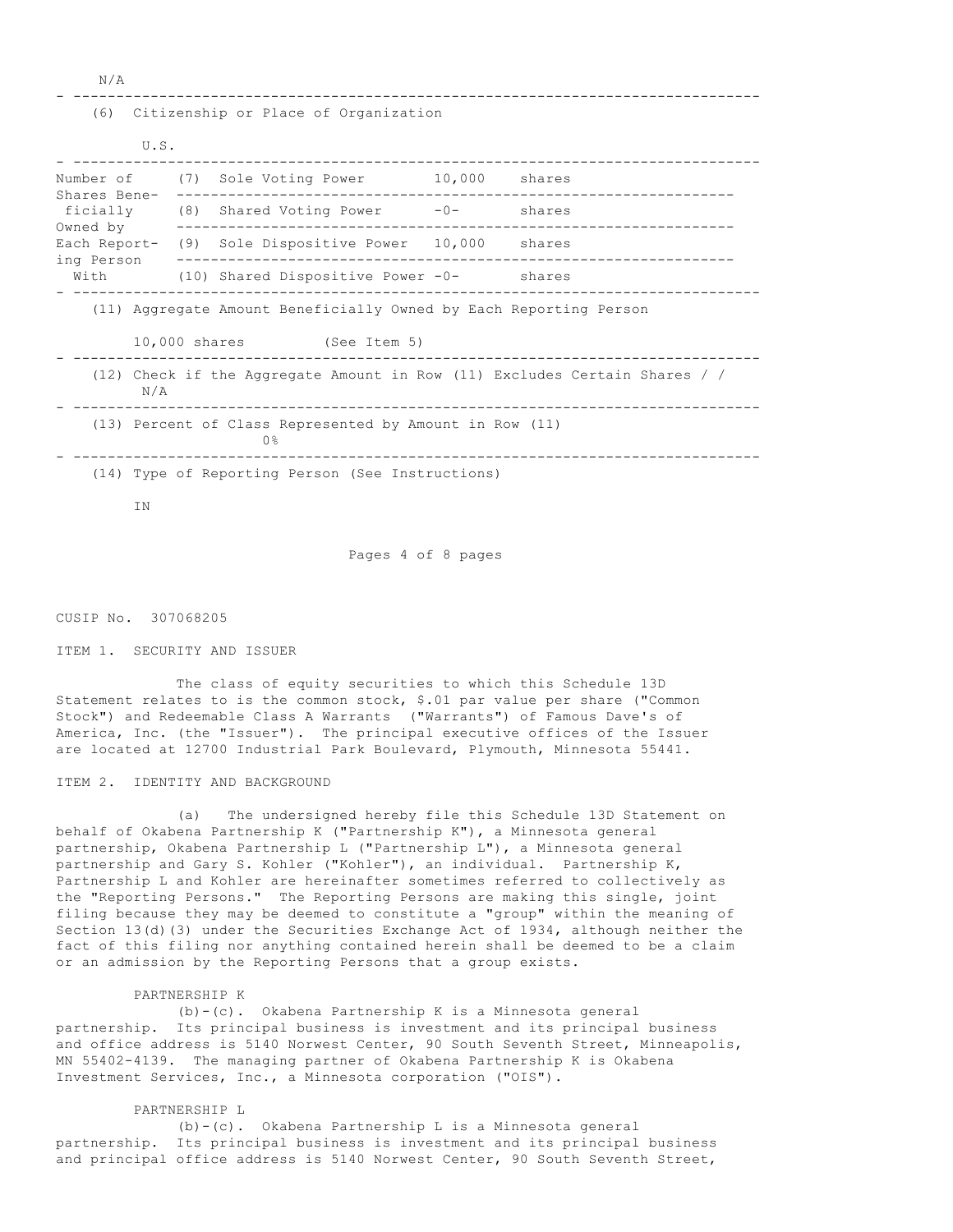N/A

### - --------------------------------------------------------------------------------

## (6) Citizenship or Place of Organization

| U.S.                                                                              |  |                                                         |        |        |
|-----------------------------------------------------------------------------------|--|---------------------------------------------------------|--------|--------|
| Number of<br>Shares Bene-<br>ficially<br>Owned by                                 |  | (7) Sole Voting Power                                   | 10,000 | shares |
|                                                                                   |  | $(8)$ Shared Voting Power $-0-$                         |        | shares |
|                                                                                   |  | Each Report- (9) Sole Dispositive Power 10,000 shares   |        |        |
| ing Person<br>With                                                                |  | (10) Shared Dispositive Power -0-                       |        | shares |
| (11) Aggregate Amount Beneficially Owned by Each Reporting Person                 |  |                                                         |        |        |
|                                                                                   |  | 10,000 shares (See Item 5)                              |        |        |
| (12) Check if the Aggregate Amount in Row (11) Excludes Certain Shares / /<br>N/A |  |                                                         |        |        |
| (13) Percent of Class Represented by Amount in Row (11)<br>0 <sup>°</sup>         |  |                                                         |        |        |
|                                                                                   |  | $(14)$ Type of Departing Derson $(S_{00}$ Instrustional |        |        |

(14) Type of Reporting Person (See Instructions)

IN

Pages 4 of 8 pages

CUSIP No. 307068205

# ITEM 1. SECURITY AND ISSUER

 The class of equity securities to which this Schedule 13D Statement relates to is the common stock, \$.01 par value per share ("Common Stock") and Redeemable Class A Warrants ("Warrants") of Famous Dave's of America, Inc. (the "Issuer"). The principal executive offices of the Issuer are located at 12700 Industrial Park Boulevard, Plymouth, Minnesota 55441.

# ITEM 2. IDENTITY AND BACKGROUND

 (a) The undersigned hereby file this Schedule 13D Statement on behalf of Okabena Partnership K ("Partnership K"), a Minnesota general partnership, Okabena Partnership L ("Partnership L"), a Minnesota general partnership and Gary S. Kohler ("Kohler"), an individual. Partnership K, Partnership L and Kohler are hereinafter sometimes referred to collectively as the "Reporting Persons." The Reporting Persons are making this single, joint filing because they may be deemed to constitute a "group" within the meaning of Section 13(d)(3) under the Securities Exchange Act of 1934, although neither the fact of this filing nor anything contained herein shall be deemed to be a claim or an admission by the Reporting Persons that a group exists.

## PARTNERSHIP K

 (b)-(c). Okabena Partnership K is a Minnesota general partnership. Its principal business is investment and its principal business and office address is 5140 Norwest Center, 90 South Seventh Street, Minneapolis, MN 55402-4139. The managing partner of Okabena Partnership K is Okabena Investment Services, Inc., a Minnesota corporation ("OIS").

## PARTNERSHIP L

 (b)-(c). Okabena Partnership L is a Minnesota general partnership. Its principal business is investment and its principal business and principal office address is 5140 Norwest Center, 90 South Seventh Street,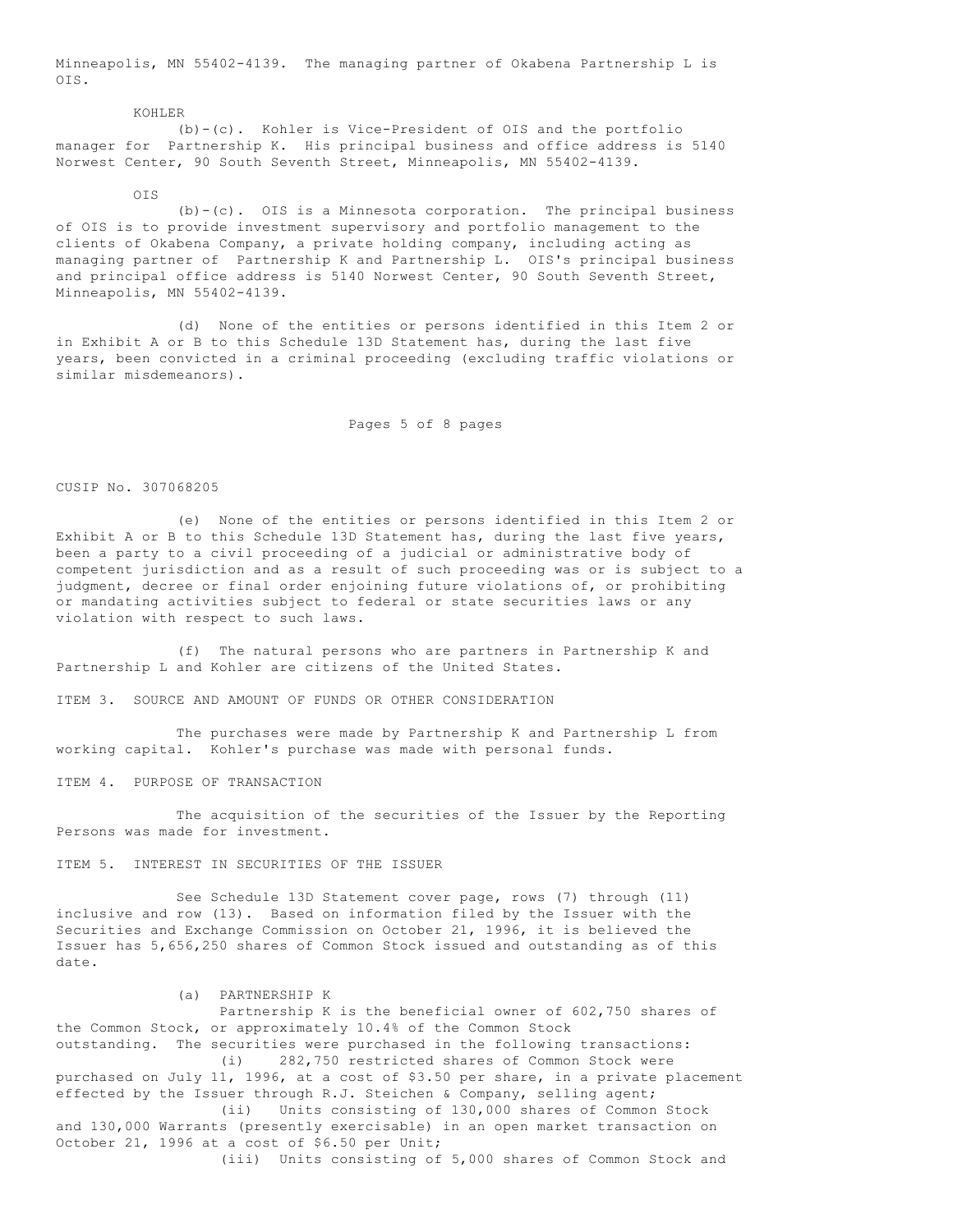Minneapolis, MN 55402-4139. The managing partner of Okabena Partnership L is OIS.

 KOHLER (b)-(c). Kohler is Vice-President of OIS and the portfolio manager for Partnership K. His principal business and office address is 5140 Norwest Center, 90 South Seventh Street, Minneapolis, MN 55402-4139.

 $\bigcap T$ 

 (b)-(c). OIS is a Minnesota corporation. The principal business of OIS is to provide investment supervisory and portfolio management to the clients of Okabena Company, a private holding company, including acting as managing partner of Partnership K and Partnership L. OIS's principal business and principal office address is 5140 Norwest Center, 90 South Seventh Street, Minneapolis, MN 55402-4139.

 (d) None of the entities or persons identified in this Item 2 or in Exhibit A or B to this Schedule 13D Statement has, during the last five years, been convicted in a criminal proceeding (excluding traffic violations or similar misdemeanors).

Pages 5 of 8 pages

## CUSIP No. 307068205

 (e) None of the entities or persons identified in this Item 2 or Exhibit A or B to this Schedule 13D Statement has, during the last five years, been a party to a civil proceeding of a judicial or administrative body of competent jurisdiction and as a result of such proceeding was or is subject to a judgment, decree or final order enjoining future violations of, or prohibiting or mandating activities subject to federal or state securities laws or any violation with respect to such laws.

 (f) The natural persons who are partners in Partnership K and Partnership L and Kohler are citizens of the United States.

ITEM 3. SOURCE AND AMOUNT OF FUNDS OR OTHER CONSIDERATION

 The purchases were made by Partnership K and Partnership L from working capital. Kohler's purchase was made with personal funds.

ITEM 4. PURPOSE OF TRANSACTION

 The acquisition of the securities of the Issuer by the Reporting Persons was made for investment.

ITEM 5. INTEREST IN SECURITIES OF THE ISSUER

 See Schedule 13D Statement cover page, rows (7) through (11) inclusive and row (13). Based on information filed by the Issuer with the Securities and Exchange Commission on October 21, 1996, it is believed the Issuer has 5,656,250 shares of Common Stock issued and outstanding as of this date.

(a) PARTNERSHIP K

 Partnership K is the beneficial owner of 602,750 shares of the Common Stock, or approximately 10.4% of the Common Stock outstanding. The securities were purchased in the following transactions: (i) 282,750 restricted shares of Common Stock were purchased on July 11, 1996, at a cost of \$3.50 per share, in a private placement effected by the Issuer through R.J. Steichen & Company, selling agent; (ii) Units consisting of 130,000 shares of Common Stock and 130,000 Warrants (presently exercisable) in an open market transaction on October 21, 1996 at a cost of \$6.50 per Unit; (iii) Units consisting of 5,000 shares of Common Stock and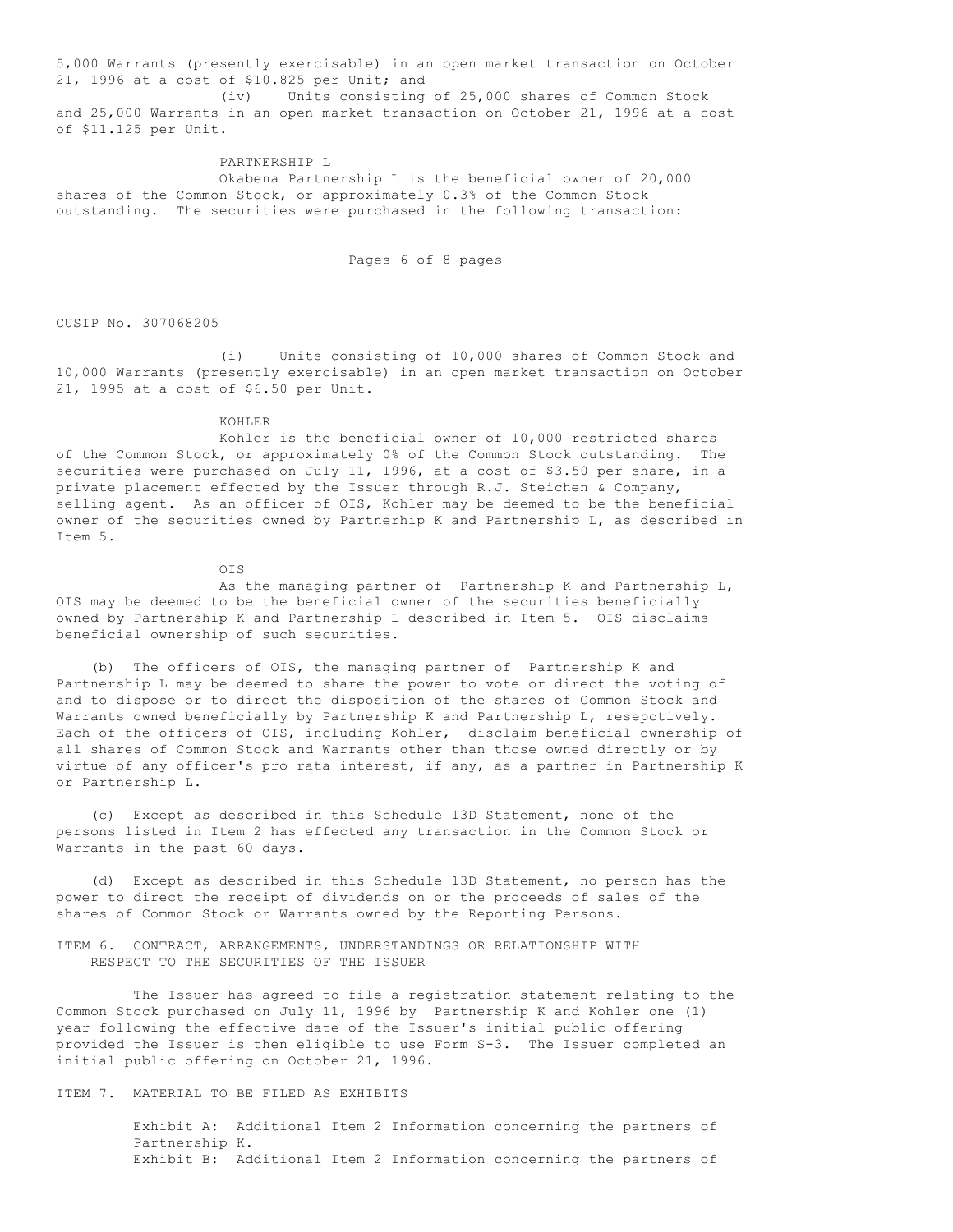5,000 Warrants (presently exercisable) in an open market transaction on October 21, 1996 at a cost of \$10.825 per Unit; and

 (iv) Units consisting of 25,000 shares of Common Stock and 25,000 Warrants in an open market transaction on October 21, 1996 at a cost of \$11.125 per Unit.

### PARTNERSHIP L

 Okabena Partnership L is the beneficial owner of 20,000 shares of the Common Stock, or approximately 0.3% of the Common Stock outstanding. The securities were purchased in the following transaction:

Pages 6 of 8 pages

CUSIP No. 307068205

 (i) Units consisting of 10,000 shares of Common Stock and 10,000 Warrants (presently exercisable) in an open market transaction on October 21, 1995 at a cost of \$6.50 per Unit.

#### KOHLER

 Kohler is the beneficial owner of 10,000 restricted shares of the Common Stock, or approximately 0% of the Common Stock outstanding. The securities were purchased on July 11, 1996, at a cost of \$3.50 per share, in a private placement effected by the Issuer through R.J. Steichen & Company, selling agent. As an officer of OIS, Kohler may be deemed to be the beneficial owner of the securities owned by Partnerhip K and Partnership L, as described in Item 5.

OIS

 As the managing partner of Partnership K and Partnership L, OIS may be deemed to be the beneficial owner of the securities beneficially owned by Partnership K and Partnership L described in Item 5. OIS disclaims beneficial ownership of such securities.

 (b) The officers of OIS, the managing partner of Partnership K and Partnership L may be deemed to share the power to vote or direct the voting of and to dispose or to direct the disposition of the shares of Common Stock and Warrants owned beneficially by Partnership K and Partnership L, resepctively. Each of the officers of OIS, including Kohler, disclaim beneficial ownership of all shares of Common Stock and Warrants other than those owned directly or by virtue of any officer's pro rata interest, if any, as a partner in Partnership K or Partnership L.

 (c) Except as described in this Schedule 13D Statement, none of the persons listed in Item 2 has effected any transaction in the Common Stock or Warrants in the past 60 days.

 (d) Except as described in this Schedule 13D Statement, no person has the power to direct the receipt of dividends on or the proceeds of sales of the shares of Common Stock or Warrants owned by the Reporting Persons.

ITEM 6. CONTRACT, ARRANGEMENTS, UNDERSTANDINGS OR RELATIONSHIP WITH RESPECT TO THE SECURITIES OF THE ISSUER

 The Issuer has agreed to file a registration statement relating to the Common Stock purchased on July 11, 1996 by Partnership K and Kohler one (1) year following the effective date of the Issuer's initial public offering provided the Issuer is then eligible to use Form S-3. The Issuer completed an initial public offering on October 21, 1996.

# ITEM 7. MATERIAL TO BE FILED AS EXHIBITS

 Exhibit A: Additional Item 2 Information concerning the partners of Partnership K. Exhibit B: Additional Item 2 Information concerning the partners of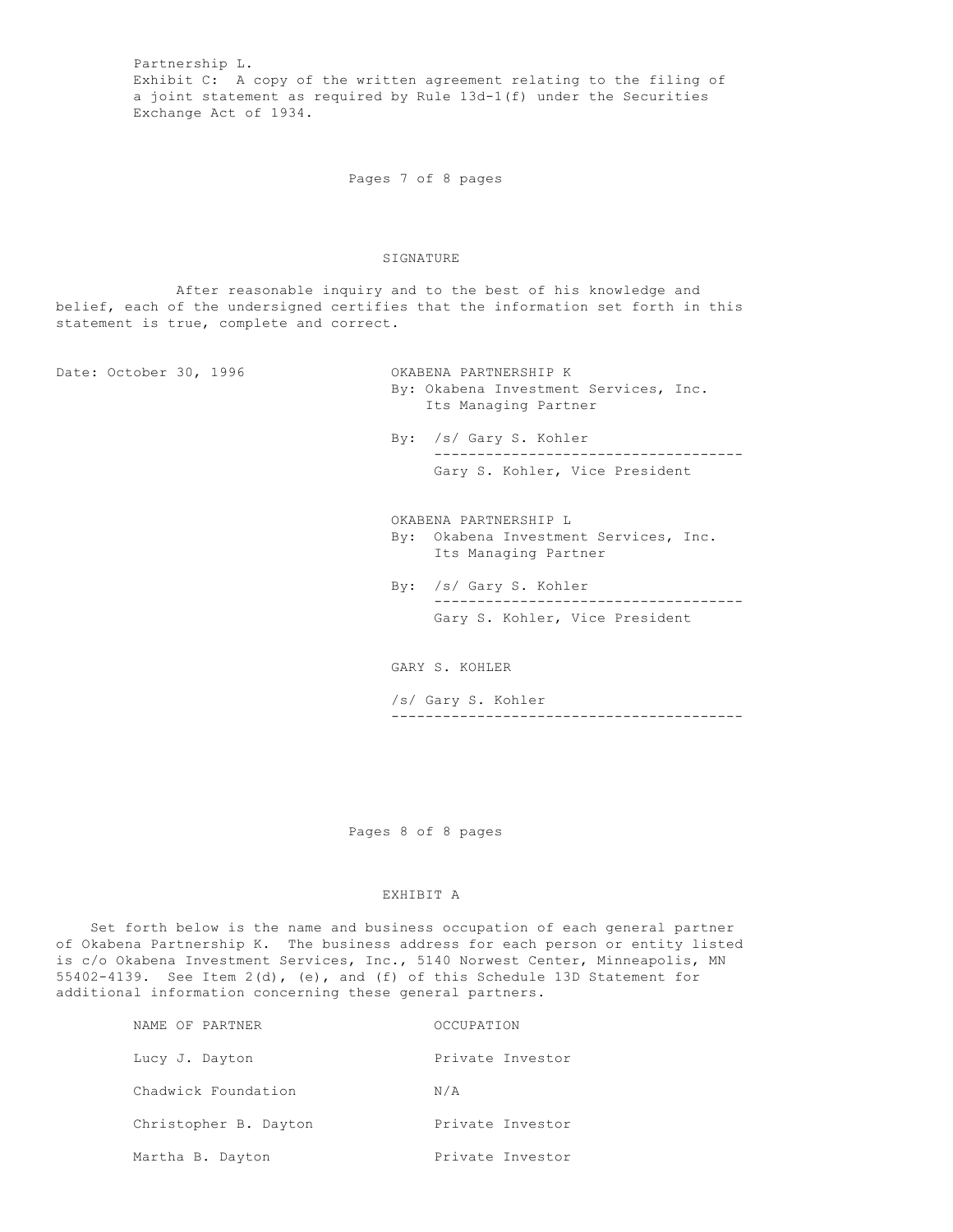Partnership L. Exhibit C: A copy of the written agreement relating to the filing of a joint statement as required by Rule 13d-1(f) under the Securities Exchange Act of 1934.

Pages 7 of 8 pages

### SIGNATURE

 After reasonable inquiry and to the best of his knowledge and belief, each of the undersigned certifies that the information set forth in this statement is true, complete and correct.

Date: October 30, 1996 OKABENA PARTNERSHIP K

 By: Okabena Investment Services, Inc. Its Managing Partner

 By: /s/ Gary S. Kohler ------------------------------------ Gary S. Kohler, Vice President

 OKABENA PARTNERSHIP L By: Okabena Investment Services, Inc. Its Managing Partner

 By: /s/ Gary S. Kohler ------------------------------------ Gary S. Kohler, Vice President

GARY S. KOHLER

 /s/ Gary S. Kohler -----------------------------------------

Pages 8 of 8 pages

### EXHIBIT A

 Set forth below is the name and business occupation of each general partner of Okabena Partnership K. The business address for each person or entity listed is c/o Okabena Investment Services, Inc., 5140 Norwest Center, Minneapolis, MN 55402-4139. See Item 2(d), (e), and (f) of this Schedule 13D Statement for additional information concerning these general partners.

| NAME OF PARTNER       | OCCUPATION       |
|-----------------------|------------------|
| Lucy J. Dayton        | Private Investor |
| Chadwick Foundation   | N/A              |
| Christopher B. Dayton | Private Investor |
| Martha B. Dayton      | Private Investor |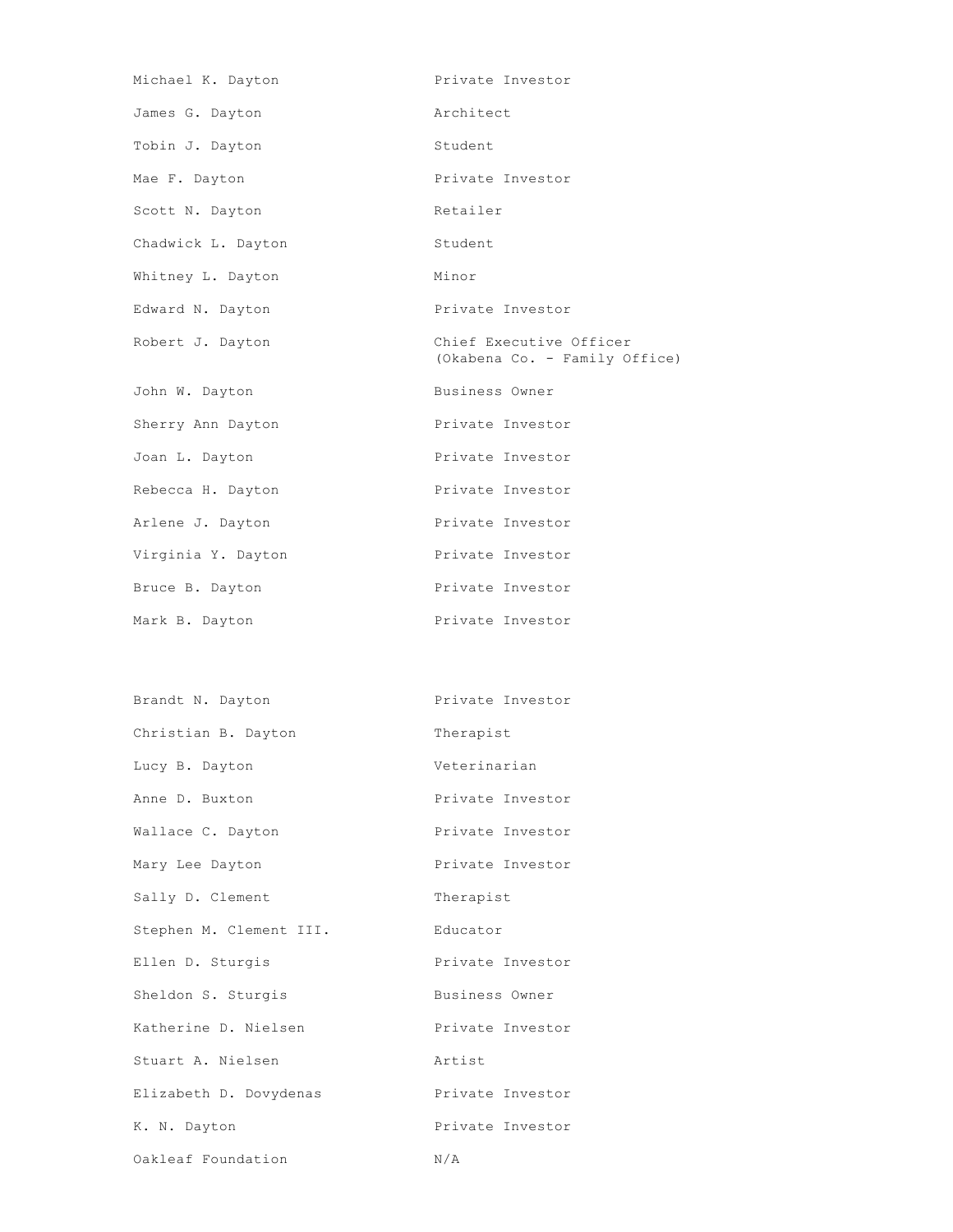| Michael K. Dayton  | Private Investor                                         |
|--------------------|----------------------------------------------------------|
| James G. Dayton    | Architect                                                |
| Tobin J. Dayton    | Student                                                  |
| Mae F. Dayton      | Private Investor                                         |
| Scott N. Dayton    | Retailer                                                 |
| Chadwick L. Dayton | Student                                                  |
| Whitney L. Dayton  | Minor                                                    |
| Edward N. Dayton   | Private Investor                                         |
| Robert J. Dayton   | Chief Executive Officer<br>(Okabena Co. - Family Office) |
| John W. Dayton     | Business Owner                                           |
| Sherry Ann Dayton  | Private Investor                                         |
| Joan L. Dayton     | Private Investor                                         |
| Rebecca H. Dayton  | Private Investor                                         |
| Arlene J. Dayton   | Private Investor                                         |
| Virginia Y. Dayton | Private Investor                                         |
| Bruce B. Dayton    | Private Investor                                         |
| Mark B. Dayton     | Private Investor                                         |
|                    |                                                          |

| Brandt N. Dayton        | Private Investor |
|-------------------------|------------------|
| Christian B. Dayton     | Therapist        |
| Lucy B. Dayton          | Veterinarian     |
| Anne D. Buxton          | Private Investor |
| Wallace C. Dayton       | Private Investor |
| Mary Lee Dayton         | Private Investor |
| Sally D. Clement        | Therapist        |
| Stephen M. Clement III. | Educator         |
| Ellen D. Sturgis        | Private Investor |
| Sheldon S. Sturgis      | Business Owner   |
| Katherine D. Nielsen    | Private Investor |
| Stuart A. Nielsen       | Artist           |
| Elizabeth D. Dovydenas  | Private Investor |
| K. N. Dayton            | Private Investor |
| Oakleaf Foundation      | N/A              |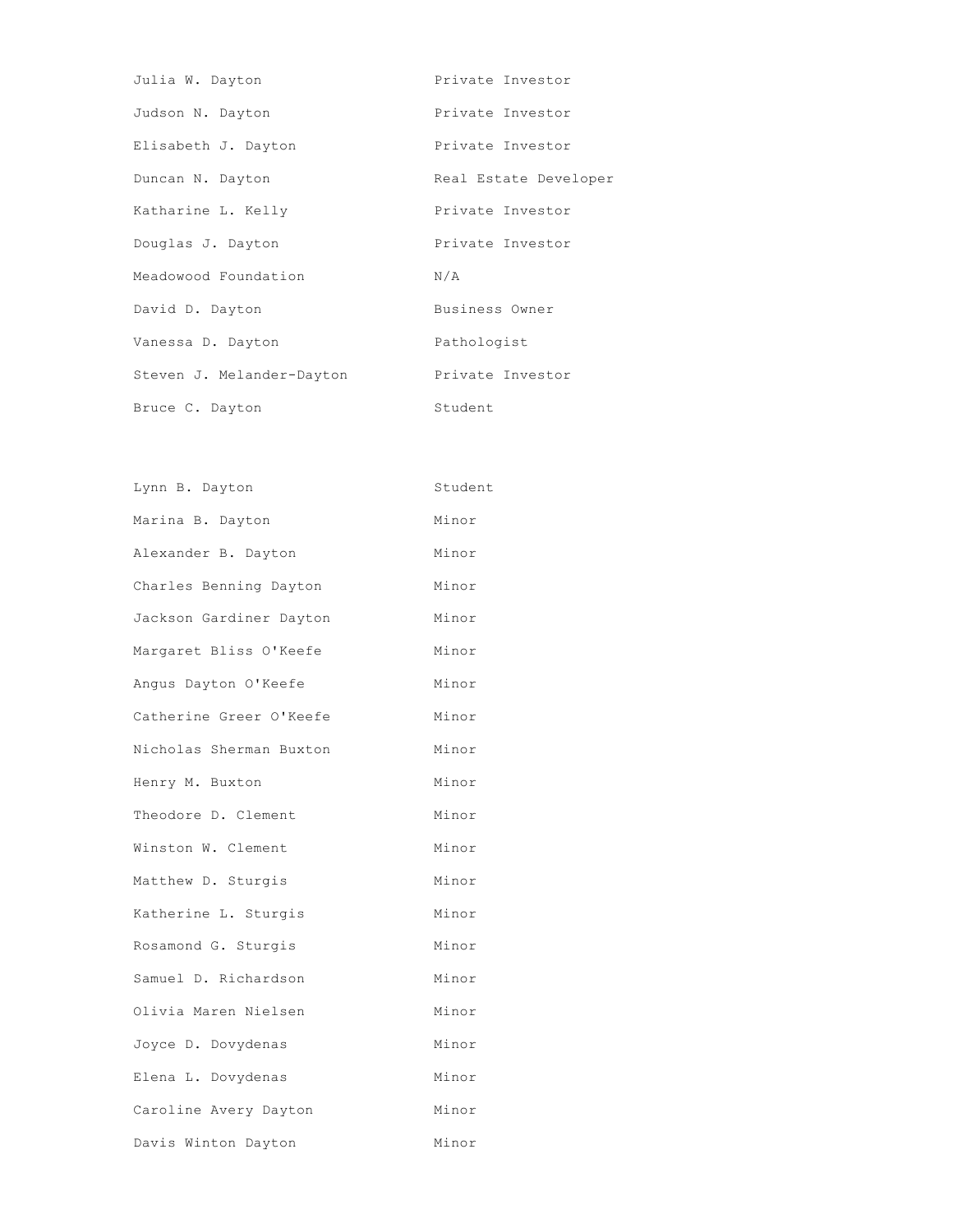| Julia W. Dayton           | Private Investor      |
|---------------------------|-----------------------|
| Judson N. Dayton          | Private Investor      |
| Elisabeth J. Dayton       | Private Investor      |
| Duncan N. Dayton          | Real Estate Developer |
| Katharine L. Kelly        | Private Investor      |
| Douglas J. Dayton         | Private Investor      |
| Meadowood Foundation      | N/A                   |
| David D. Dayton           | Business Owner        |
| Vanessa D. Dayton         | Pathologist           |
| Steven J. Melander-Dayton | Private Investor      |
| Bruce C. Dayton           | Student               |

| Lynn B. Dayton          | Student |
|-------------------------|---------|
| Marina B. Dayton        | Minor   |
| Alexander B. Dayton     | Minor   |
| Charles Benning Dayton  | Minor   |
| Jackson Gardiner Dayton | Minor   |
| Margaret Bliss O'Keefe  | Minor   |
| Angus Dayton O'Keefe    | Minor   |
| Catherine Greer O'Keefe | Minor   |
| Nicholas Sherman Buxton | Minor   |
| Henry M. Buxton         | Minor   |
| Theodore D. Clement     | Minor   |
| Winston W. Clement      | Minor   |
| Matthew D. Sturgis      | Minor   |
| Katherine L. Sturgis    | Minor   |
| Rosamond G. Sturgis     | Minor   |
| Samuel D. Richardson    | Minor   |
| Olivia Maren Nielsen    | Minor   |
| Joyce D. Dovydenas      | Minor   |
| Elena L. Dovydenas      | Minor   |
| Caroline Avery Dayton   | Minor   |
| Davis Winton Dayton     | Minor   |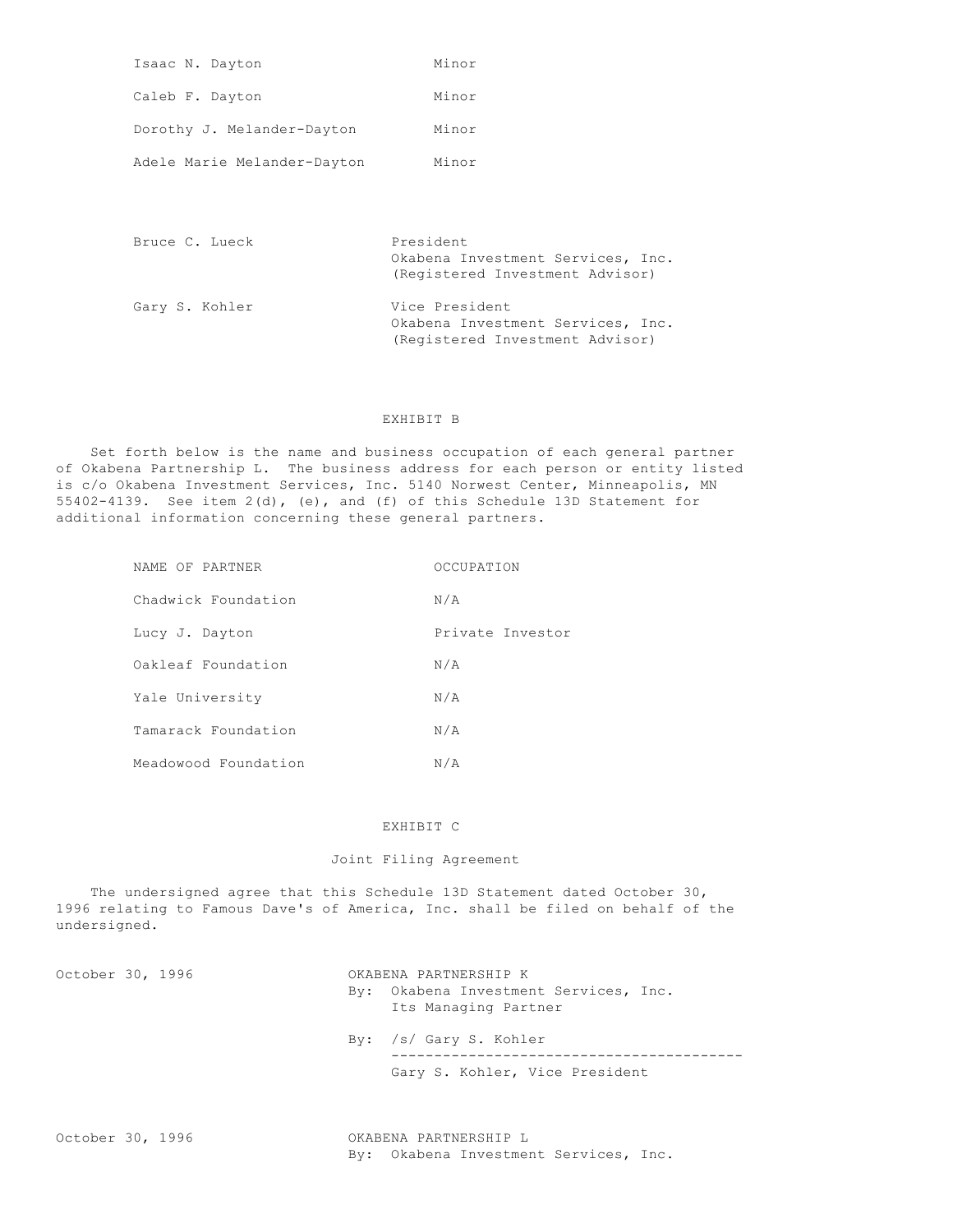| Isaac N. Dayton             | Minor |
|-----------------------------|-------|
| Caleb F. Dayton             | Minor |
| Dorothy J. Melander-Dayton  | Minor |
| Adele Marie Melander-Dayton | Minor |

| Bruce C. Lueck | President<br>Okabena Investment Services, Inc.<br>(Registered Investment Advisor)      |
|----------------|----------------------------------------------------------------------------------------|
| Gary S. Kohler | Vice President<br>Okabena Investment Services, Inc.<br>(Registered Investment Advisor) |

### EXHIBIT B

 Set forth below is the name and business occupation of each general partner of Okabena Partnership L. The business address for each person or entity listed is c/o Okabena Investment Services, Inc. 5140 Norwest Center, Minneapolis, MN 55402-4139. See item 2(d), (e), and (f) of this Schedule 13D Statement for additional information concerning these general partners.

| NAME OF PARTNER      | OCCUPATION       |
|----------------------|------------------|
| Chadwick Foundation  | N/A              |
| Lucy J. Dayton       | Private Investor |
| Oakleaf Foundation   | N/A              |
| Yale University      | N/A              |
| Tamarack Foundation  | N/A              |
| Meadowood Foundation | N/A              |

### EXHIBIT C

# Joint Filing Agreement

 The undersigned agree that this Schedule 13D Statement dated October 30, 1996 relating to Famous Dave's of America, Inc. shall be filed on behalf of the undersigned.

October 30, 1996 **OKABENA PARTNERSHIP K**  By: Okabena Investment Services, Inc. Its Managing Partner By: /s/ Gary S. Kohler ----------------------------------------- Gary S. Kohler, Vice President

October 30, 1996 OKABENA PARTNERSHIP L By: Okabena Investment Services, Inc.